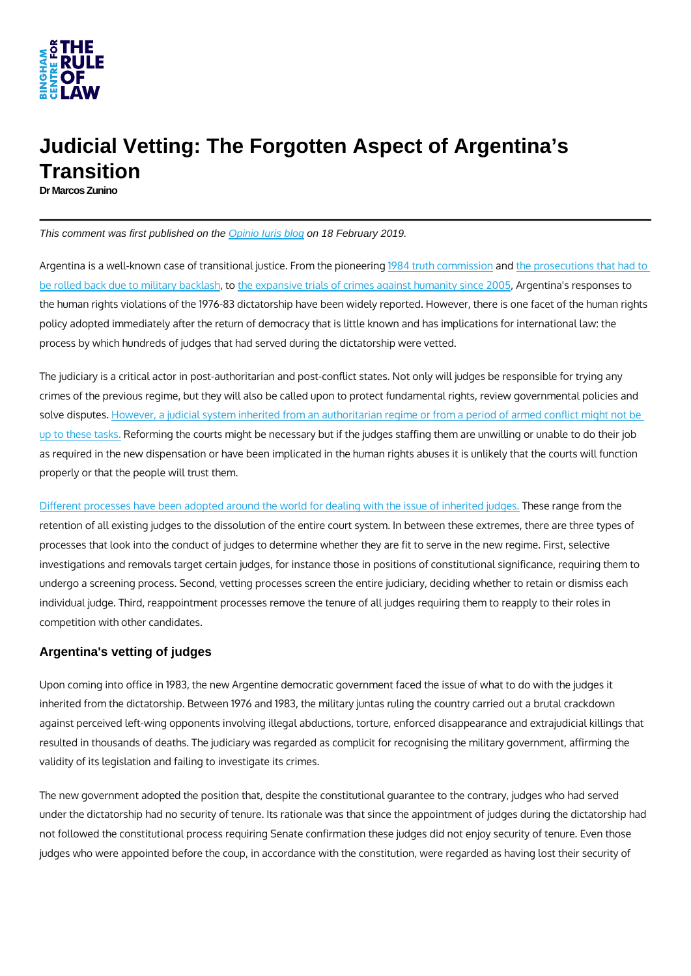

## Judicial Vetting: The Forgotten Aspect of Argentina's **Transition**

Dr Marcos Zunino

This comment was first published on the [Opinio Iuris blog](http://opiniojuris.org/2019/02/18/judicial-vetting-the-forgotten-aspect-of-argentinas-transition/) on 18 February 2019.

Argentina is a well-known case of transitional justice.uFrom the eniment station reservations that h [be rolled back due to mi](https://www.amnesty.org/en/documents/amr13/004/2003/en/)litable backlassive trials of crimes agains, tArugne antina's intesponses the human rights violations of the 1976-83 dictatorship have been widely reported. How policy adopted immediately after the return of democracy that is little known and has in process by which hundreds of judges that had served during the dictatorship were vette

The judiciary is a critical actor in post-authoritarian and post-conflict states. Not only crimes of the previous regime, but they will also be called upon to protect fundamental solve displut es. ver, a judicial system inherited from an authoritarian regime or from a period of a [up to these](https://www.icj.org/wp-content/uploads/2016/06/Universal-PG-13-Judicial-Accountability-Publications-Reports-Practitioners-Guide-2016-ENG.pdf) Ræforming the courts might be necessary but if the judges staffing them are as required in the new dispensation or have been implicated in the human rights abuse properly or that the people will trust them.

[Different processes have been adopted around the world for dea](https://blog-iacl-aidc.org/2019-posts/2019/1/25/after-polands-attempted-purge-of-communist-era-judges-do-we-need-new-international-standards-for-post-authoritarian-countries-reforming-their-judiciary)linique weth athoge it is summe their retention of all existing judges to the dissolution of the entire court system. In betwee processes that look into the conduct of judges to determine whether they are fit to serv investigations and removals target certain judges, for instance those in positions of co undergo a screening process. Second, vetting processes screen the entire judiciary, de individual judge. Third, reappointment processes remove the tenure of all judges requi competition with other candidates.

## Argentina's vetting of judges

Upon coming into office in 1983, the new Argentine democratic government faced the is inherited from the dictatorship. Between 1976 and 1983, the military juntas ruling the out against perceived left-wing opponents involving illegal abductions, torture, enforced di resulted in thousands of deaths. The judiciary was regarded as complicit for recognising validity of its legislation and failing to investigate its crimes.

The new government adopted the position that, despite the constitutional guarantee to under the dictatorship had no security of tenure. Its rationale was that since the appoi not followed the constitutional process requiring Senate confirmation these judges did judges who were appointed before the coup, in accordance with the constitution, were  $\vert$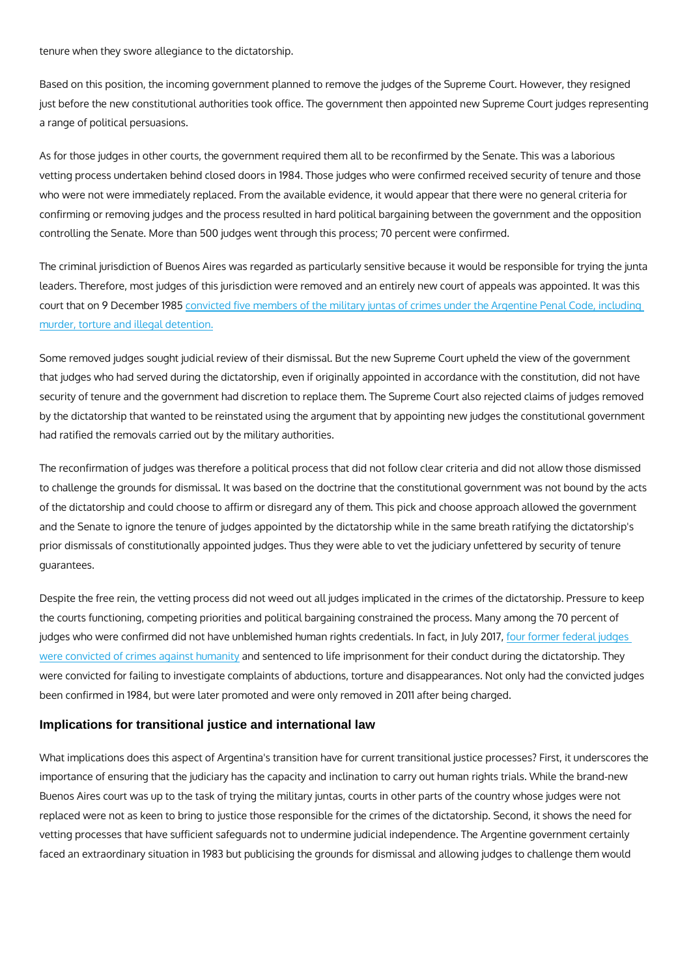tenure when they swore allegiance to the dictatorship.

Based on this position, the incoming government planned to remove the judges of the S just before the new constitutional authorities took office. The government then appoint a range of political persuasions.

As for those judges in other courts, the government required them all to be reconfirmed vetting process undertaken behind closed doors in 1984. Those judges who were confir who were not were immediately replaced. From the available evidence, it would appear confirming or removing judges and the process resulted in hard political bargaining bet controlling the Senate. More than 500 judges went through this process; 70 percent we

The criminal jurisdiction of Buenos Aires was regarded as particularly sensitive becaus leaders. Therefore, most judges of this jurisdiction were removed and an entirely new o court that on 9 Decembeircite 63 five members of the military juntas of crimes under the A [murder, torture and ille](http://www.internationalcrimesdatabase.org/Case/1118)gal detention.

Some removed judges sought judicial review of their dismissal. But the new Supreme C that judges who had served during the dictatorship, even if originally appointed in acco security of tenure and the government had discretion to replace them. The Supreme Co by the dictatorship that wanted to be reinstated using the argument that by appointing had ratified the removals carried out by the military authorities.

The reconfirmation of judges was therefore a political process that did not follow clear to challenge the grounds for dismissal. It was based on the doctrine that the constituti of the dictatorship and could choose to affirm or disregard any of them. This pick and and the Senate to ignore the tenure of judges appointed by the dictatorship while in th prior dismissals of constitutionally appointed judges. Thus they were able to vet the ju guarantees.

Despite the free rein, the vetting process did not weed out all judges implicated in the the courts functioning, competing priorities and political bargaining constrained the pr judges who were confirmed did not have unblemished human rights coementials. It in flact, [were convicted of crimes a](https://www.cij.gov.ar/nota-26800-Condenaron-a-cuatro-ex-jueces-federales-en-Mendoza-por-delitos-de-lesa-humanidad-.html)gainidssentenacedy to life imprisonment for their conduct during were convicted for failing to investigate complaints of abductions, torture and disappea been confirmed in 1984, but were later promoted and were only removed in 2011 after b

## Implications for transitional justice and international law

What implications does this aspect of Argentina's transition have for current transition importance of ensuring that the judiciary has the capacity and inclination to carry out Buenos Aires court was up to the task of trying the military juntas, courts in other part replaced were not as keen to bring to justice those responsible for the crimes of the di vetting processes that have sufficient safeguards not to undermine judicial independen faced an extraordinary situation in 1983 but publicising the grounds for dismissal and a